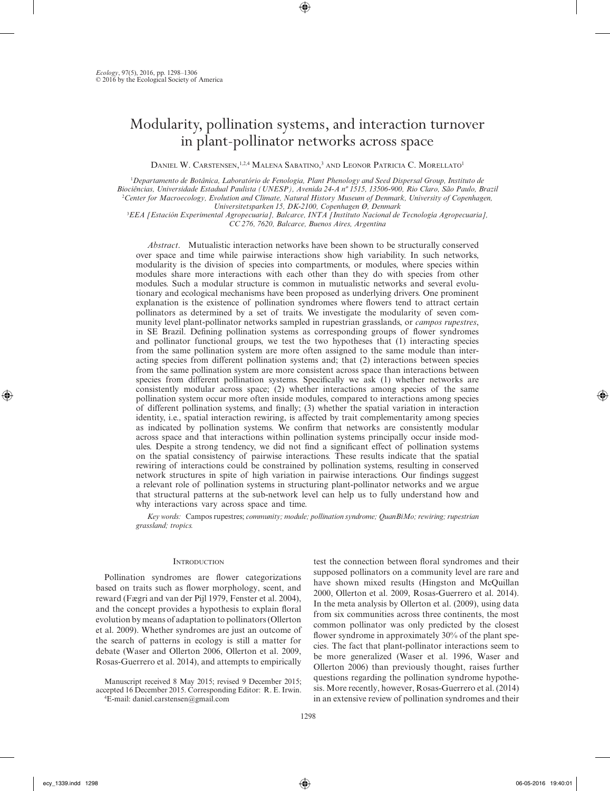# Modularity, pollination systems, and interaction turnover in plant-pollinator networks across space

DANIEL W. CARSTENSEN,<sup>1,2,4</sup> MALENA SABATINO,<sup>3</sup> AND LEONOR PATRICIA C. MORELLATO<sup>1</sup>

<sup>1</sup>*Departamento de Botânica , Laboratório de Fenologia , Plant Phenology and Seed Dispersal Group , Instituto de Biociências , Universidade Estadual Paulista (UNESP) , Avenida 24-A nº 1515 , 13506-900 , Rio Claro , São Paulo , Brazil* <sup>2</sup> Center for Macroecology, Evolution and Climate, Natural History Museum of Denmark, University of Copenhagen,  *Universitetsparken 15 , DK-2100 , Copenhagen Ø , Denmark* 

<sup>3</sup>*EEA [Estación Experimental Agropecuaria], Balcarce , INTA [Instituto Nacional de Tecnología Agropecuaria] , CC 276 , 7620 , Balcarce , Buenos Aires , Argentina* 

*Abstract* . Mutualistic interaction networks have been shown to be structurally conserved over space and time while pairwise interactions show high variability. In such networks, modularity is the division of species into compartments, or modules, where species within modules share more interactions with each other than they do with species from other modules. Such a modular structure is common in mutualistic networks and several evolutionary and ecological mechanisms have been proposed as underlying drivers. One prominent explanation is the existence of pollination syndromes where flowers tend to attract certain pollinators as determined by a set of traits. We investigate the modularity of seven community level plant- pollinator networks sampled in rupestrian grasslands, or *campos rupestres* , in SE Brazil. Defining pollination systems as corresponding groups of flower syndromes and pollinator functional groups, we test the two hypotheses that (1) interacting species from the same pollination system are more often assigned to the same module than interacting species from different pollination systems and; that (2) interactions between species from the same pollination system are more consistent across space than interactions between species from different pollination systems. Specifically we ask (1) whether networks are consistently modular across space; (2) whether interactions among species of the same pollination system occur more often inside modules, compared to interactions among species of different pollination systems, and finally; (3) whether the spatial variation in interaction identity, i.e., spatial interaction rewiring, is affected by trait complementarity among species as indicated by pollination systems. We confirm that networks are consistently modular across space and that interactions within pollination systems principally occur inside modules. Despite a strong tendency, we did not find a significant effect of pollination systems on the spatial consistency of pairwise interactions. These results indicate that the spatial rewiring of interactions could be constrained by pollination systems, resulting in conserved network structures in spite of high variation in pairwise interactions. Our findings suggest a relevant role of pollination systems in structuring plant- pollinator networks and we argue that structural patterns at the sub-network level can help us to fully understand how and why interactions vary across space and time.

*Key words:* Campos rupestres; *community; module; pollination syndrome; QuanBiMo; rewiring; rupestrian*  $grassland;$  tropics.

## **INTRODUCTION**

Pollination syndromes are flower categorizations based on traits such as flower morphology, scent, and reward (Fægri and van der Pijl 1979, Fenster et al. 2004), and the concept provides a hypothesis to explain floral evolution by means of adaptation to pollinators (Ollerton et al. 2009). Whether syndromes are just an outcome of the search of patterns in ecology is still a matter for debate (Waser and Ollerton 2006, Ollerton et al. 2009, Rosas-Guerrero et al. 2014), and attempts to empirically

Manuscript received 8 May 2015; revised 9 December 2015; accepted 16 December 2015. Corresponding Editor: R. E. Irwin. E-mail: daniel.carstensen@gmail.com

test the connection between floral syndromes and their supposed pollinators on a community level are rare and have shown mixed results (Hingston and McQuillan 2000, Ollerton et al. 2009, Rosas-Guerrero et al. 2014). In the meta analysis by Ollerton et al. (2009), using data from six communities across three continents, the most common pollinator was only predicted by the closest flower syndrome in approximately 30% of the plant species. The fact that plant- pollinator interactions seem to be more generalized (Waser et al. 1996, Waser and Ollerton 2006) than previously thought, raises further questions regarding the pollination syndrome hypothesis. More recently, however, Rosas-Guerrero et al. (2014) in an extensive review of pollination syndromes and their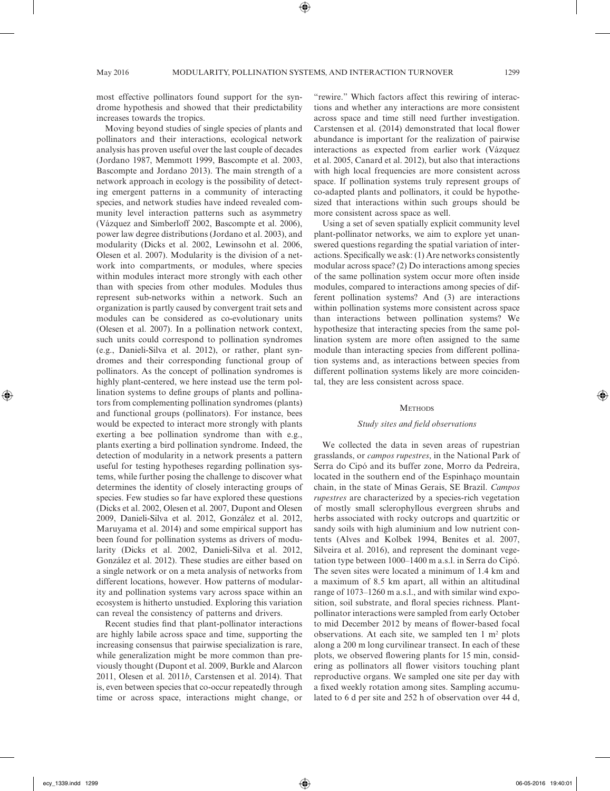most effective pollinators found support for the syndrome hypothesis and showed that their predictability increases towards the tropics.

 Moving beyond studies of single species of plants and pollinators and their interactions, ecological network analysis has proven useful over the last couple of decades (Jordano 1987, Memmott 1999, Bascompte et al. 2003, Bascompte and Jordano 2013). The main strength of a network approach in ecology is the possibility of detecting emergent patterns in a community of interacting species, and network studies have indeed revealed community level interaction patterns such as asymmetry (Vázquez and Simberloff 2002, Bascompte et al. 2006), power law degree distributions (Jordano et al. 2003 ), and modularity (Dicks et al. 2002, Lewinsohn et al. 2006, Olesen et al. 2007). Modularity is the division of a network into compartments, or modules, where species within modules interact more strongly with each other than with species from other modules. Modules thus represent sub- networks within a network. Such an organization is partly caused by convergent trait sets and modules can be considered as co-evolutionary units (Olesen et al. 2007). In a pollination network context, such units could correspond to pollination syndromes (e.g., Danieli-Silva et al. 2012), or rather, plant syndromes and their corresponding functional group of pollinators. As the concept of pollination syndromes is highly plant-centered, we here instead use the term pollination systems to define groups of plants and pollinators from complementing pollination syndromes (plants) and functional groups (pollinators). For instance, bees would be expected to interact more strongly with plants exerting a bee pollination syndrome than with e.g., plants exerting a bird pollination syndrome. Indeed, the detection of modularity in a network presents a pattern useful for testing hypotheses regarding pollination systems, while further posing the challenge to discover what determines the identity of closely interacting groups of species. Few studies so far have explored these questions (Dicks et al. 2002, Olesen et al. 2007, Dupont and Olesen 2009, Danieli-Silva et al. 2012, González et al. 2012, Maruyama et al. 2014) and some empirical support has been found for pollination systems as drivers of modularity (Dicks et al. 2002, Danieli-Silva et al. 2012, González et al. 2012). These studies are either based on a single network or on a meta analysis of networks from different locations, however. How patterns of modularity and pollination systems vary across space within an ecosystem is hitherto unstudied. Exploring this variation can reveal the consistency of patterns and drivers.

Recent studies find that plant-pollinator interactions are highly labile across space and time, supporting the increasing consensus that pairwise specialization is rare, while generalization might be more common than previously thought (Dupont et al. 2009 , Burkle and Alarcon 2011, Olesen et al. 2011*b*, Carstensen et al. 2014). That is, even between species that co- occur repeatedly through time or across space, interactions might change, or

"rewire." Which factors affect this rewiring of interactions and whether any interactions are more consistent across space and time still need further investigation. Carstensen et al. (2014) demonstrated that local flower abundance is important for the realization of pairwise interactions as expected from earlier work (Vázquez et al. 2005, Canard et al. 2012), but also that interactions with high local frequencies are more consistent across space. If pollination systems truly represent groups of co- adapted plants and pollinators, it could be hypothesized that interactions within such groups should be more consistent across space as well.

 Using a set of seven spatially explicit community level plant- pollinator networks, we aim to explore yet unanswered questions regarding the spatial variation of interactions. Specifically we ask:  $(1)$  Are networks consistently modular across space? (2) Do interactions among species of the same pollination system occur more often inside modules, compared to interactions among species of different pollination systems? And (3) are interactions within pollination systems more consistent across space than interactions between pollination systems? We hypothesize that interacting species from the same pollination system are more often assigned to the same module than interacting species from different pollination systems and, as interactions between species from different pollination systems likely are more coincidental, they are less consistent across space.

#### **METHODS**

#### *Study sites and field observations*

 We collected the data in seven areas of rupestrian grasslands, or *campos rupestres* , in the National Park of Serra do Cipó and its buffer zone, Morro da Pedreira, located in the southern end of the Espinhaço mountain chain, in the state of Minas Gerais, SE Brazil. *Campos rupestres* are characterized by a species-rich vegetation of mostly small sclerophyllous evergreen shrubs and herbs associated with rocky outcrops and quartzitic or sandy soils with high aluminium and low nutrient contents (Alves and Kolbek 1994, Benites et al. 2007, Silveira et al. 2016), and represent the dominant vegetation type between 1000–1400 m a.s.l. in Serra do Cipó. The seven sites were located a minimum of 1.4 km and a maximum of 8.5 km apart, all within an altitudinal range of 1073–1260 m a.s.l., and with similar wind exposition, soil substrate, and floral species richness. Plantpollinator interactions were sampled from early October to mid December 2012 by means of flower-based focal observations. At each site, we sampled ten  $1 \text{ m}^2$  plots along a 200 m long curvilinear transect. In each of these plots, we observed flowering plants for 15 min, considering as pollinators all flower visitors touching plant reproductive organs. We sampled one site per day with a fixed weekly rotation among sites. Sampling accumulated to 6 d per site and 252 h of observation over 44 d,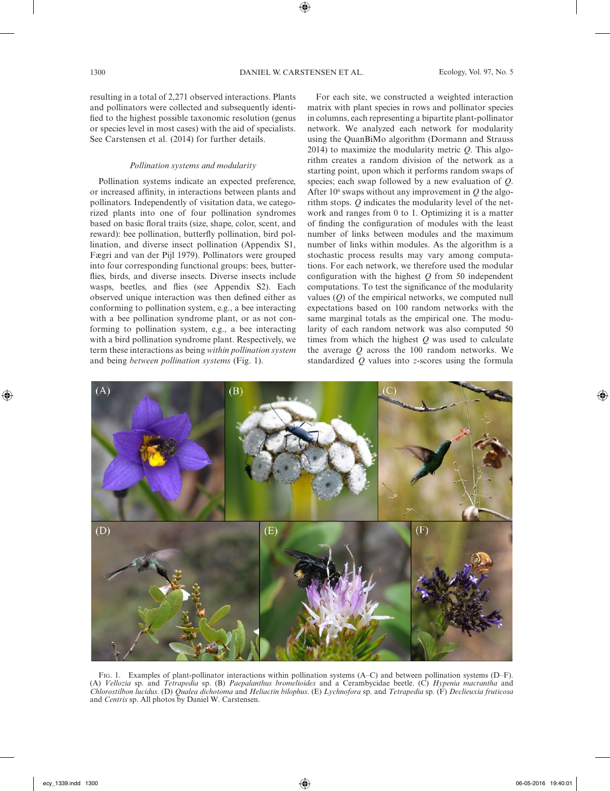resulting in a total of 2,271 observed interactions. Plants and pollinators were collected and subsequently identified to the highest possible taxonomic resolution (genus or species level in most cases) with the aid of specialists. See Carstensen et al. (2014) for further details.

## *Pollination systems and modularity*

 Pollination systems indicate an expected preference, or increased affinity, in interactions between plants and pollinators. Independently of visitation data, we categorized plants into one of four pollination syndromes based on basic floral traits (size, shape, color, scent, and reward): bee pollination, butterfly pollination, bird pollination, and diverse insect pollination (Appendix S1, Fægri and van der Pijl 1979). Pollinators were grouped into four corresponding functional groups: bees, butterflies, birds, and diverse insects. Diverse insects include wasps, beetles, and flies (see Appendix S2). Each observed unique interaction was then defined either as conforming to pollination system, e.g., a bee interacting with a bee pollination syndrome plant, or as not conforming to pollination system, e.g., a bee interacting with a bird pollination syndrome plant. Respectively, we term these interactions as being *within pollination system*  and being *between pollination systems* (Fig. 1).

 For each site, we constructed a weighted interaction matrix with plant species in rows and pollinator species in columns, each representing a bipartite plant- pollinator network. We analyzed each network for modularity using the QuanBiMo algorithm (Dormann and Strauss 2014) to maximize the modularity metric  $Q$ . This algorithm creates a random division of the network as a starting point, upon which it performs random swaps of species; each swap followed by a new evaluation of *Q*. After  $10<sup>6</sup>$  swaps without any improvement in  $Q$  the algorithm stops. *Q* indicates the modularity level of the network and ranges from 0 to 1. Optimizing it is a matter of finding the configuration of modules with the least number of links between modules and the maximum number of links within modules. As the algorithm is a stochastic process results may vary among computations. For each network, we therefore used the modular configuration with the highest  $O$  from 50 independent computations. To test the significance of the modularity values  $(Q)$  of the empirical networks, we computed null expectations based on 100 random networks with the same marginal totals as the empirical one. The modularity of each random network was also computed 50 times from which the highest *Q* was used to calculate the average *Q* across the 100 random networks. We standardized *Q* values into *z*-scores using the formula



FIG. 1. Examples of plant-pollinator interactions within pollination systems (A–C) and between pollination systems (D–F). (A) *Vellozia* sp. and *Tetrapedia* sp. (B) *Paepalanthus bromelioides* and a Cerambycidae beetle. (C) *Hypenia macrantha* and *Chlorostilbon lucidus* . (D) *Qualea dichotoma* and *Heliactin bilophus* . (E) *Lychnofora* sp. and *Tetrapedia* sp. (F) *Declieuxia fruticosa*  and *Centris* sp. All photos by Daniel W. Carstensen.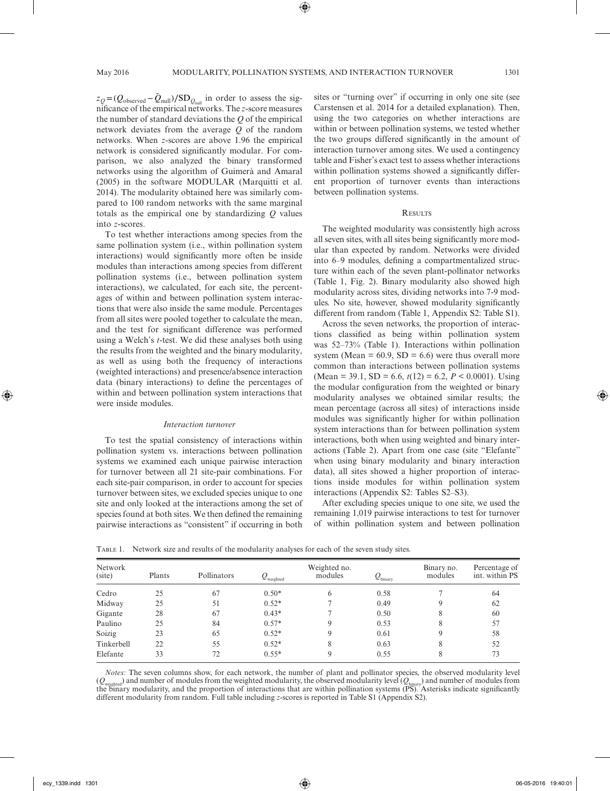$z_Q = (Q_{\text{observed}} - \bar{Q}_{\text{null}})/SD_{Q_{\text{null}}}$  in order to assess the signifi cance of the empirical networks. The *z* - score measures the number of standard deviations the *Q* of the empirical network deviates from the average *Q* of the random networks. When *z*-scores are above 1.96 the empirical network is considered significantly modular. For comparison, we also analyzed the binary transformed networks using the algorithm of Guimerà and Amaral (2005) in the software MODULAR (Marquitti et al. 2014). The modularity obtained here was similarly compared to 100 random networks with the same marginal totals as the empirical one by standardizing *Q* values into *z*-scores.

 To test whether interactions among species from the same pollination system (i.e., within pollination system interactions) would significantly more often be inside modules than interactions among species from different pollination systems (i.e., between pollination system interactions), we calculated, for each site, the percentages of within and between pollination system interactions that were also inside the same module. Percentages from all sites were pooled together to calculate the mean, and the test for significant difference was performed using a Welch's *t*-test. We did these analyses both using the results from the weighted and the binary modularity, as well as using both the frequency of interactions (weighted interactions) and presence/absence interaction data (binary interactions) to define the percentages of within and between pollination system interactions that were inside modules.

#### *Interaction turnover*

 To test the spatial consistency of interactions within pollination system vs. interactions between pollination systems we examined each unique pairwise interaction for turnover between all 21 site-pair combinations. For each site-pair comparison, in order to account for species turnover between sites, we excluded species unique to one site and only looked at the interactions among the set of species found at both sites. We then defined the remaining pairwise interactions as "consistent" if occurring in both sites or "turning over" if occurring in only one site (see Carstensen et al. 2014 for a detailed explanation). Then, using the two categories on whether interactions are within or between pollination systems, we tested whether the two groups differed significantly in the amount of interaction turnover among sites. We used a contingency table and Fisher's exact test to assess whether interactions within pollination systems showed a significantly different proportion of turnover events than interactions between pollination systems.

## **RESULTS**

 The weighted modularity was consistently high across all seven sites, with all sites being significantly more modular than expected by random. Networks were divided into 6–9 modules, defining a compartmentalized structure within each of the seven plant-pollinator networks (Table 1, Fig. 2). Binary modularity also showed high modularity across sites, dividing networks into 7-9 modules. No site, however, showed modularity significantly different from random (Table 1, Appendix S2: Table S1).

 Across the seven networks, the proportion of interactions classified as being within pollination system was  $52-73%$  (Table 1). Interactions within pollination system (Mean =  $60.9$ , SD =  $6.6$ ) were thus overall more common than interactions between pollination systems (Mean = 39.1, SD = 6.6,  $t(12) = 6.2$ ,  $P < 0.0001$ ). Using the modular configuration from the weighted or binary modularity analyses we obtained similar results; the mean percentage (across all sites) of interactions inside modules was significantly higher for within pollination system interactions than for between pollination system interactions, both when using weighted and binary interactions (Table 2). Apart from one case (site "Elefante" when using binary modularity and binary interaction data), all sites showed a higher proportion of interactions inside modules for within pollination system interactions (Appendix S2: Tables S2–S3).

 After excluding species unique to one site, we used the remaining 1,019 pairwise interactions to test for turnover of within pollination system and between pollination

TABLE 1. Network size and results of the modularity analyses for each of the seven study sites.

| Network<br>(site) | Plants | Pollinators | $Z_{weighted}$ | Weighted no.<br>modules | Binary no.<br>modules | Percentage of<br>int. within PS |    |
|-------------------|--------|-------------|----------------|-------------------------|-----------------------|---------------------------------|----|
| Cedro             | 25     | 67          | $0.50*$        | 6                       | 0.58                  |                                 | 64 |
| Midway            | 25     | 51          | $0.52*$        |                         | 0.49                  |                                 | 62 |
| Gigante           | 28     | 67          | $0.43*$        |                         | 0.50                  | 8                               | 60 |
| Paulino           | 25     | 84          | $0.57*$        |                         | 0.53                  |                                 | 57 |
| Soizig            | 23     | 65          | $0.52*$        | Q                       | 0.61                  |                                 | 58 |
| Tinkerbell        | 22     | 55          | $0.52*$        | 8                       | 0.63                  | 8                               | 52 |
| Elefante          | 33     | 72          | $0.55*$        |                         | 0.55                  |                                 | 73 |

*Notes:* The seven columns show, for each network, the number of plant and pollinator species, the observed modularity level  $(Q_{\text{weighted}})$  and number of modules from the weighted modularity, the observed modularity level  $(Q_{\text{binar}})$  and number of modules from the binary modularity, and the proportion of interactions that are within pollination systems (PS). Asterisks indicate significantly different modularity from random. Full table including *z*-scores is reported in Table S1 (Appendix S2).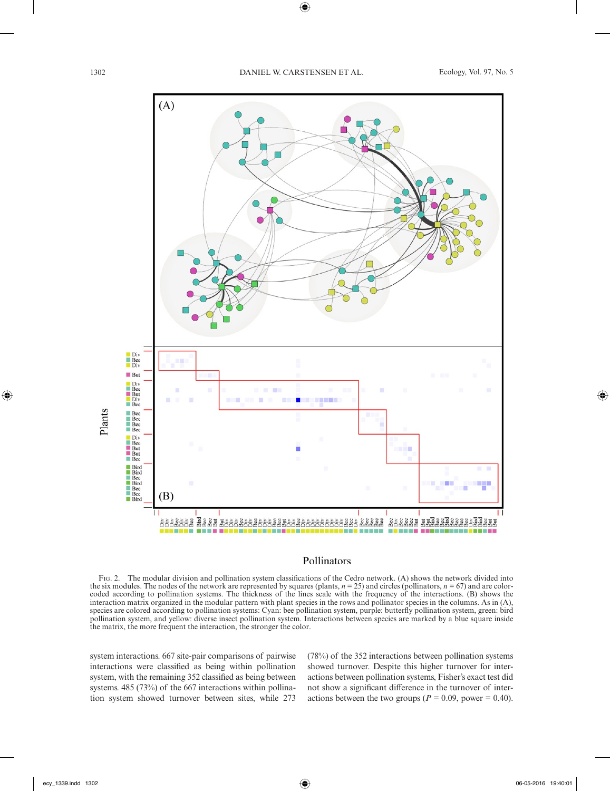

## Pollinators

FIG. 2. The modular division and pollination system classifications of the Cedro network. (A) shows the network divided into the six modules. The nodes of the network are represented by squares (plants,  $n = 25$ ) and circles (pollinators,  $n = 67$ ) and are colorcoded according to pollination systems. The thickness of the lines scale with the frequency of the interactions. (B) shows the interaction matrix organized in the modular pattern with plant species in the rows and pollinator species in the columns. As in (A), species are colored according to pollination systems: Cyan: bee pollination system, purple: butterfly pollination system, green: bird pollination system, and yellow: diverse insect pollination system. Interactions between species are marked by a blue square inside the matrix, the more frequent the interaction, the stronger the color.

system interactions. 667 site-pair comparisons of pairwise interactions were classified as being within pollination system, with the remaining 352 classified as being between systems. 485 (73%) of the 667 interactions within pollination system showed turnover between sites, while 273 (78%) of the 352 interactions between pollination systems showed turnover. Despite this higher turnover for interactions between pollination systems, Fisher's exact test did not show a significant difference in the turnover of interactions between the two groups ( $P = 0.09$ , power = 0.40).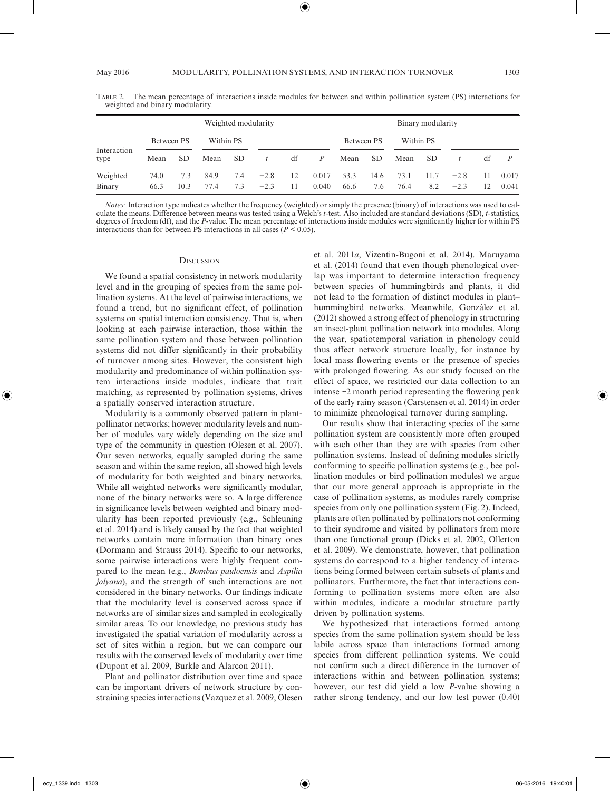|                     | Weighted modularity |           |           |     |        |    |       | Binary modularity |           |           |           |        |               |       |  |
|---------------------|---------------------|-----------|-----------|-----|--------|----|-------|-------------------|-----------|-----------|-----------|--------|---------------|-------|--|
| Interaction<br>type | Between PS          |           | Within PS |     |        |    |       | Between PS        |           | Within PS |           |        |               |       |  |
|                     | Mean                | <b>SD</b> | Mean      | SD. |        | df | P     | Mean              | <b>SD</b> | Mean      | <b>SD</b> |        | <sub>df</sub> | P     |  |
| Weighted            | 74.0                | 7.3       | 84.9      | 7.4 | $-2.8$ | 12 | 0.017 | 53.3              | 14.6      | 73.1      | 11.7      | $-2.8$ | 11            | 0.017 |  |
| Binary              | 66.3                | 10.3      | 77.4      | 7.3 | $-2.3$ | 11 | 0.040 | 66.6              | 7.6       | 76.4      | 8.2       | $-2.3$ | 12            | 0.041 |  |

TABLE 2. The mean percentage of interactions inside modules for between and within pollination system (PS) interactions for weighted and binary modularity.

*Notes:* Interaction type indicates whether the frequency (weighted) or simply the presence (binary) of interactions was used to calculate the means. Difference between means was tested using a Welch's *t*-test. Also included are standard deviations (SD), *t*-statistics, degrees of freedom (df), and the *P*-value. The mean percentage of interactions inside modules were significantly higher for within PS interactions than for between PS interactions in all cases ( $P < 0.05$ ).

#### **DISCUSSION**

 We found a spatial consistency in network modularity level and in the grouping of species from the same pollination systems. At the level of pairwise interactions, we found a trend, but no significant effect, of pollination systems on spatial interaction consistency. That is, when looking at each pairwise interaction, those within the same pollination system and those between pollination systems did not differ significantly in their probability of turnover among sites. However, the consistent high modularity and predominance of within pollination system interactions inside modules, indicate that trait matching, as represented by pollination systems, drives a spatially conserved interaction structure.

 Modularity is a commonly observed pattern in plantpollinator networks; however modularity levels and number of modules vary widely depending on the size and type of the community in question (Olesen et al. 2007). Our seven networks, equally sampled during the same season and within the same region, all showed high levels of modularity for both weighted and binary networks. While all weighted networks were significantly modular, none of the binary networks were so. A large difference in significance levels between weighted and binary modularity has been reported previously (e.g., Schleuning et al. 2014) and is likely caused by the fact that weighted networks contain more information than binary ones (Dormann and Strauss 2014). Specific to our networks, some pairwise interactions were highly frequent compared to the mean (e.g., *Bombus pauloensis* and *Aspilia jolyana*), and the strength of such interactions are not considered in the binary networks. Our findings indicate that the modularity level is conserved across space if networks are of similar sizes and sampled in ecologically similar areas. To our knowledge, no previous study has investigated the spatial variation of modularity across a set of sites within a region, but we can compare our results with the conserved levels of modularity over time (Dupont et al. 2009, Burkle and Alarcon 2011).

 Plant and pollinator distribution over time and space can be important drivers of network structure by constraining species interactions (Vazquez et al. 2009 , Olesen et al. 2011a, Vizentin-Bugoni et al. 2014). Maruyama et al. (2014) found that even though phenological overlap was important to determine interaction frequency between species of hummingbirds and plants, it did not lead to the formation of distinct modules in plant– hum mingbird networks. Meanwhile, González et al. (2012) showed a strong effect of phenology in structuring an insect- plant pollination network into modules. Along the year, spatiotemporal variation in phenology could thus affect network structure locally, for instance by local mass flowering events or the presence of species with prolonged flowering. As our study focused on the effect of space, we restricted our data collection to an intense  $\sim$ 2 month period representing the flowering peak of the early rainy season (Carstensen et al. 2014) in order to minimize phenological turnover during sampling.

 Our results show that interacting species of the same pollination system are consistently more often grouped with each other than they are with species from other pollination systems. Instead of defining modules strictly conforming to specific pollination systems (e.g., bee pollination modules or bird pollination modules) we argue that our more general approach is appropriate in the case of pollination systems, as modules rarely comprise species from only one pollination system (Fig. 2). Indeed, plants are often pollinated by pollinators not conforming to their syndrome and visited by pollinators from more than one functional group (Dicks et al. 2002, Ollerton et al. 2009). We demonstrate, however, that pollination systems do correspond to a higher tendency of interactions being formed between certain subsets of plants and pollinators. Furthermore, the fact that interactions conforming to pollination systems more often are also within modules, indicate a modular structure partly driven by pollination systems.

 We hypothesized that interactions formed among species from the same pollination system should be less labile across space than interactions formed among species from different pollination systems. We could not confirm such a direct difference in the turnover of interactions within and between pollination systems; however, our test did yield a low *P*-value showing a rather strong tendency, and our low test power (0.40)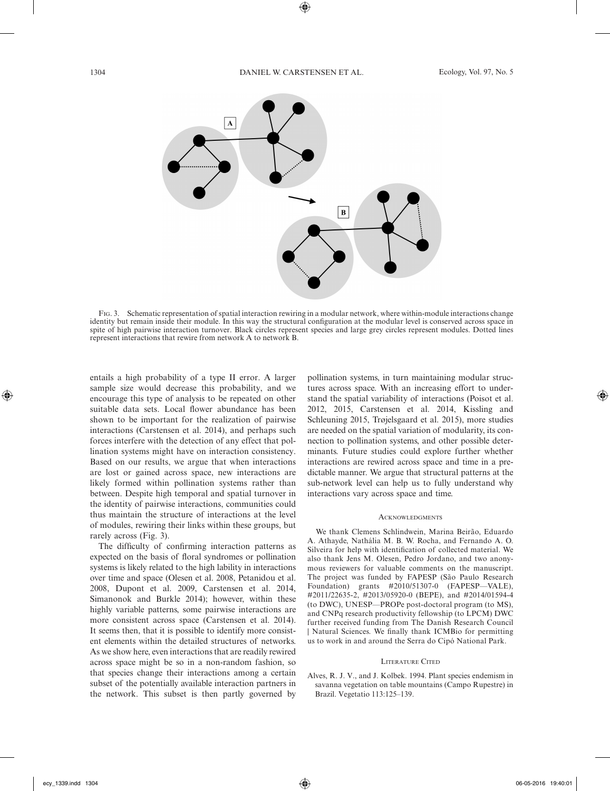

FIG. 3. Schematic representation of spatial interaction rewiring in a modular network, where within-module interactions change identity but remain inside their module. In this way the structural configuration at the modular level is conserved across space in spite of high pairwise interaction turnover. Black circles represent species and large grey circles represent modules. Dotted lines represent interactions that rewire from network A to network B.

entails a high probability of a type II error. A larger sample size would decrease this probability, and we encourage this type of analysis to be repeated on other suitable data sets. Local flower abundance has been shown to be important for the realization of pairwise interactions (Carstensen et al. 2014), and perhaps such forces interfere with the detection of any effect that pollination systems might have on interaction consistency. Based on our results, we argue that when interactions are lost or gained across space, new interactions are likely formed within pollination systems rather than between. Despite high temporal and spatial turnover in the identity of pairwise interactions, communities could thus maintain the structure of interactions at the level of modules, rewiring their links within these groups, but rarely across (Fig. 3).

The difficulty of confirming interaction patterns as expected on the basis of floral syndromes or pollination systems is likely related to the high lability in interactions over time and space (Olesen et al. 2008, Petanidou et al. 2008, Dupont et al. 2009, Carstensen et al. 2014, Simanonok and Burkle 2014); however, within these highly variable patterns, some pairwise interactions are more consistent across space (Carstensen et al. 2014). It seems then, that it is possible to identify more consistent elements within the detailed structures of networks. As we show here, even interactions that are readily rewired across space might be so in a non-random fashion, so that species change their interactions among a certain subset of the potentially available interaction partners in the network. This subset is then partly governed by

pollination systems, in turn maintaining modular structures across space. With an increasing effort to understand the spatial variability of interactions (Poisot et al. 2012, 2015, Carstensen et al. 2014, Kissling and Schleuning 2015, Trøjelsgaard et al. 2015), more studies are needed on the spatial variation of modularity, its connection to pollination systems, and other possible determinants. Future studies could explore further whether interactions are rewired across space and time in a predictable manner. We argue that structural patterns at the sub- network level can help us to fully understand why interactions vary across space and time.

#### **ACKNOWLEDGMENTS**

 We thank Clemens Schlindwein, Marina Beirão, Eduardo A. Athayde, Nathália M. B. W. Rocha, and Fernando A. O. Silveira for help with identification of collected material. We also thank Jens M. Olesen, Pedro Jordano, and two anonymous reviewers for valuable comments on the manuscript. The project was funded by FAPESP (São Paulo Research Foundation) grants #2010/51307-0 (FAPESP-VALE), #2011/22635-2, #2013/05920-0 (BEPE), and #2014/01594-4 (to DWC), UNESP—PROPe post- doctoral program (to MS), and CNPq research productivity fellowship (to LPCM) DWC further received funding from The Danish Research Council | Natural Sciences. We finally thank ICMBio for permitting us to work in and around the Serra do Cipó National Park.

#### LITERATURE CITED

Alves, R. J. V., and J. Kolbek. 1994. Plant species endemism in savanna vegetation on table mountains (Campo Rupestre) in Brazil. Vegetatio 113:125-139.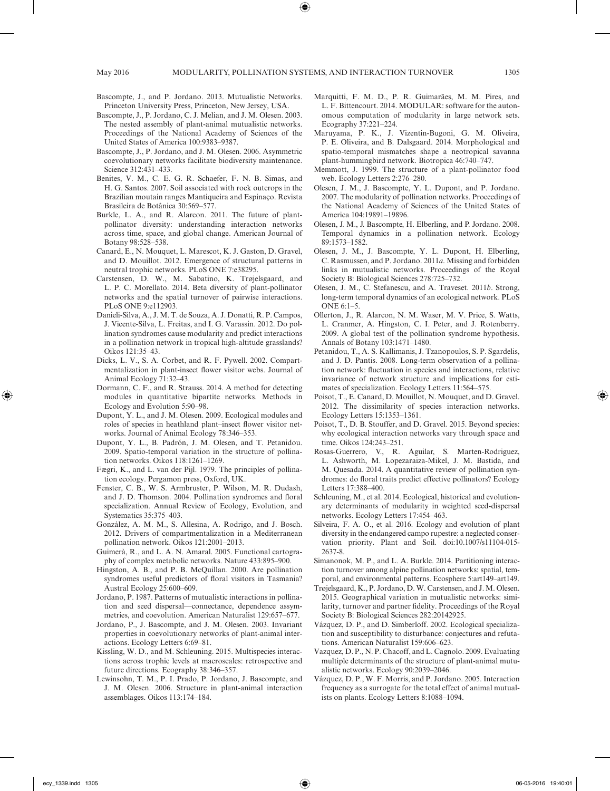- Bascompte, J., and P. Jordano. 2013. Mutualistic Networks. Princeton University Press, Princeton, New Jersey, USA.
- Bascompte, J., P. Jordano, C. J. Melian, and J. M. Olesen. 2003. The nested assembly of plant-animal mutualistic networks. Proceedings of the National Academy of Sciences of the United States of America 100:9383-9387.
- Bascompte, J., P. Jordano, and J. M. Olesen. 2006. Asymmetric coevolutionary networks facilitate biodiversity maintenance . Science 312:431-433.
- Benites, V. M., C. E. G. R. Schaefer, F. N. B. Simas, and H. G. Santos. 2007. Soil associated with rock outcrops in the Brazilian moutain ranges Mantiqueira and Espinaço . Revista Brasileira de Botânica 30:569-577.
- Burkle, L. A., and R. Alarcon. 2011. The future of plantpollinator diversity: understanding interaction networks across time, space, and global change . American Journal of Botany 98:528-538.
- Canard, E., N. Mouquet, L. Marescot, K. J. Gaston, D. Gravel, and D. Mouillot. 2012. Emergence of structural patterns in neutral trophic networks. PLoS ONE 7:e38295.
- Carstensen, D. W., M. Sabatino, K. Trøjelsgaard, and L. P. C. Morellato. 2014. Beta diversity of plant-pollinator networks and the spatial turnover of pairwise interactions . PLoS ONE 9:e112903.
- Danieli-Silva, A., J. M. T. de Souza, A. J. Donatti, R. P. Campos, J. Vicente-Silva, L. Freitas, and I. G. Varassin. 2012. Do pollination syndromes cause modularity and predict interactions in a pollination network in tropical high-altitude grasslands? Oikos 121:35-43.
- Dicks, L. V., S. A. Corbet, and R. F. Pywell. 2002. Compartmentalization in plant-insect flower visitor webs. Journal of Animal Ecology 71:32-43.
- Dormann, C. F., and R. Strauss. 2014. A method for detecting modules in quantitative bipartite networks . Methods in Ecology and Evolution 5:90–98.
- Dupont, Y. L., and J. M. Olesen. 2009. Ecological modules and roles of species in heathland plant–insect flower visitor networks. Journal of Animal Ecology 78:346-353.
- Dupont, Y. L., B. Padrón, J. M. Olesen, and T. Petanidou. 2009. Spatio-temporal variation in the structure of pollination networks. Oikos 118:1261-1269.
- Fægri, K., and L. van der Pijl. 1979. The principles of pollination ecology. Pergamon press, Oxford, UK.
- Fenster, C. B., W. S. Armbruster, P. Wilson, M. R. Dudash, and J. D. Thomson. 2004. Pollination syndromes and floral specialization. Annual Review of Ecology, Evolution, and Systematics 35:375-403.
- González, A. M. M., S. Allesina, A. Rodrigo, and J. Bosch. 2012. Drivers of compartmentalization in a Mediterranean pollination network. Oikos 121:2001-2013.
- Guimerà, R., and L. A. N. Amaral. 2005. Functional cartography of complex metabolic networks. Nature 433:895-900.
- Hingston, A. B., and P. B. McQuillan. 2000. Are pollination syndromes useful predictors of floral visitors in Tasmania? Austral Ecology 25:600–609.
- Jordano, P. 1987. Patterns of mutualistic interactions in pollination and seed dispersal—connectance, dependence assymmetries, and coevolution. American Naturalist 129:657-677.
- Jordano, P., J. Bascompte, and J. M. Olesen. 2003. Invariant properties in coevolutionary networks of plant-animal interactions. Ecology Letters 6:69-81.
- Kissling, W. D., and M. Schleuning. 2015. Multispecies interactions across trophic levels at macroscales: retrospective and future directions. Ecography 38:346-357.
- Lewinsohn, T. M., P. I. Prado, P. Jordano, J. Bascompte, and J. M. Olesen. 2006. Structure in plant-animal interaction assemblages. Oikos 113:174-184.
- Marquitti, F. M. D., P. R. Guimarães, M. M. Pires, and L. F. Bittencourt. 2014. MODULAR: software for the autonomous computation of modularity in large network sets. Ecography 37:221-224.
- Maruyama, P. K., J. Vizentin-Bugoni, G. M. Oliveira, P. E. Oliveira, and B. Dalsgaard. 2014. Morphological and spatio- temporal mismatches shape a neotropical savanna plant-hummingbird network. Biotropica 46:740-747.
- Memmott, J. 1999. The structure of a plant-pollinator food web. Ecology Letters 2:276-280.
- Olesen, J. M., J. Bascompte, Y. L. Dupont, and P. Jordano. 2007. The modularity of pollination networks. Proceedings of the National Academy of Sciences of the United States of America 104:19891-19896.
- Olesen, J. M., J. Bascompte, H. Elberling, and P. Jordano. 2008. Temporal dynamics in a pollination network . Ecology 89:1573-1582.
- Olesen, J. M., J. Bascompte, Y. L. Dupont, H. Elberling, C. Rasmussen, and P. Jordano. 2011a. Missing and forbidden links in mutualistic networks . Proceedings of the Royal Society B: Biological Sciences 278:725-732.
- Olesen, J. M., C. Stefanescu, and A. Traveset. 2011*b*. Strong, long- term temporal dynamics of an ecological network . PLoS ONE  $6:1-5$ .
- Ollerton, J., R. Alarcon, N. M. Waser, M. V. Price, S. Watts, L. Cranmer, A. Hingston, C. I. Peter, and J. Rotenberry. 2009. A global test of the pollination syndrome hypothesis. Annals of Botany 103:1471-1480.
- Petanidou, T., A. S. Kallimanis, J. Tzanopoulos, S. P. Sgardelis, and J. D. Pantis. 2008. Long-term observation of a pollination network: fluctuation in species and interactions, relative invariance of network structure and implications for estimates of specialization. Ecology Letters 11:564–575.
- Poisot, T., E. Canard, D. Mouillot, N. Mouquet, and D. Gravel. 2012. The dissimilarity of species interaction networks. Ecology Letters 15:1353-1361.
- Poisot, T., D. B. Stouffer, and D. Gravel. 2015. Beyond species: why ecological interaction networks vary through space and time. Oikos 124:243-251.
- Rosas-Guerrero, V., R. Aguilar, S. Marten-Rodriguez, L. Ashworth, M. Lopezaraiza-Mikel, J. M. Bastida, and M. Quesada . 2014 . A quantitative review of pollination syndromes: do floral traits predict effective pollinators? Ecology Letters 17:388-400.
- Schleuning, M., et al. 2014. Ecological, historical and evolutionary determinants of modularity in weighted seed- dispersal networks. Ecology Letters 17:454-463.
- Silveira, F. A. O., et al. 2016. Ecology and evolution of plant diversity in the endangered campo rupestre: a neglected conservation priority. Plant and Soil. doi:10.1007/s11104-015-2637-8.
- Simanonok, M. P., and L. A. Burkle. 2014. Partitioning interaction turnover among alpine pollination networks: spatial, temporal, and environmental patterns. Ecosphere 5:art149-art149.
- Trøjelsgaard, K., P. Jordano, D. W. Carstensen, and J. M. Olesen. 2015 . Geographical variation in mutualistic networks: similarity, turnover and partner fidelity. Proceedings of the Royal Society B: Biological Sciences 282:20142925.
- Vázquez, D. P., and D. Simberloff. 2002. Ecological specialization and susceptibility to disturbance: conjectures and refutations. American Naturalist 159:606-623.
- Vazquez, D. P., N. P. Chacoff, and L. Cagnolo. 2009. Evaluating multiple determinants of the structure of plant-animal mutualistic networks. Ecology 90:2039-2046.
- Vázquez, D. P., W. F. Morris, and P. Jordano. 2005. Interaction frequency as a surrogate for the total effect of animal mutualists on plants. Ecology Letters 8:1088-1094.